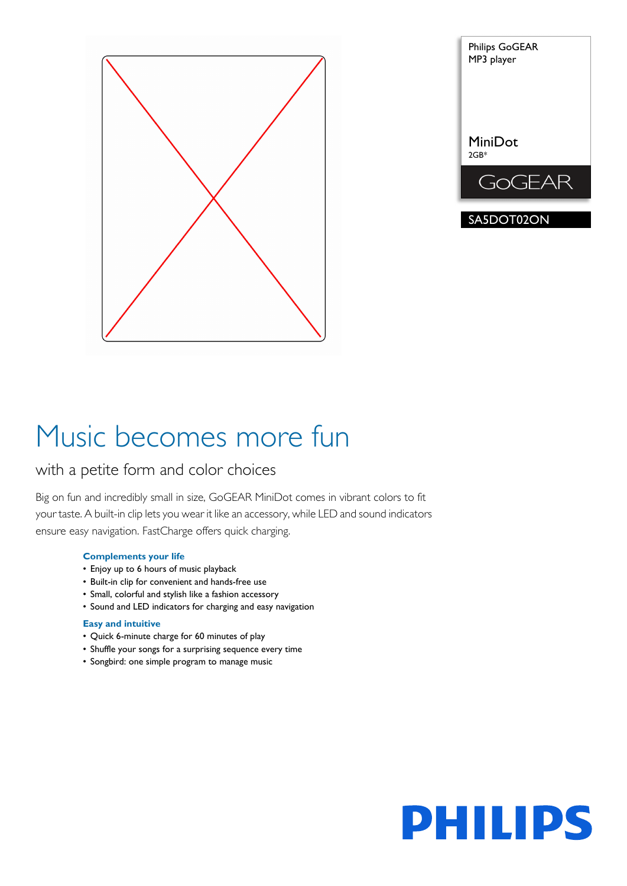



# Music becomes more fun

# with a petite form and color choices

Big on fun and incredibly small in size, GoGEAR MiniDot comes in vibrant colors to fit your taste. A built-in clip lets you wear it like an accessory, while LED and sound indicators ensure easy navigation. FastCharge offers quick charging.

# **Complements your life**

- Enjoy up to 6 hours of music playback
- Built-in clip for convenient and hands-free use
- Small, colorful and stylish like a fashion accessory
- Sound and LED indicators for charging and easy navigation

# **Easy and intuitive**

- Quick 6-minute charge for 60 minutes of play
- Shuffle your songs for a surprising sequence every time
- Songbird: one simple program to manage music

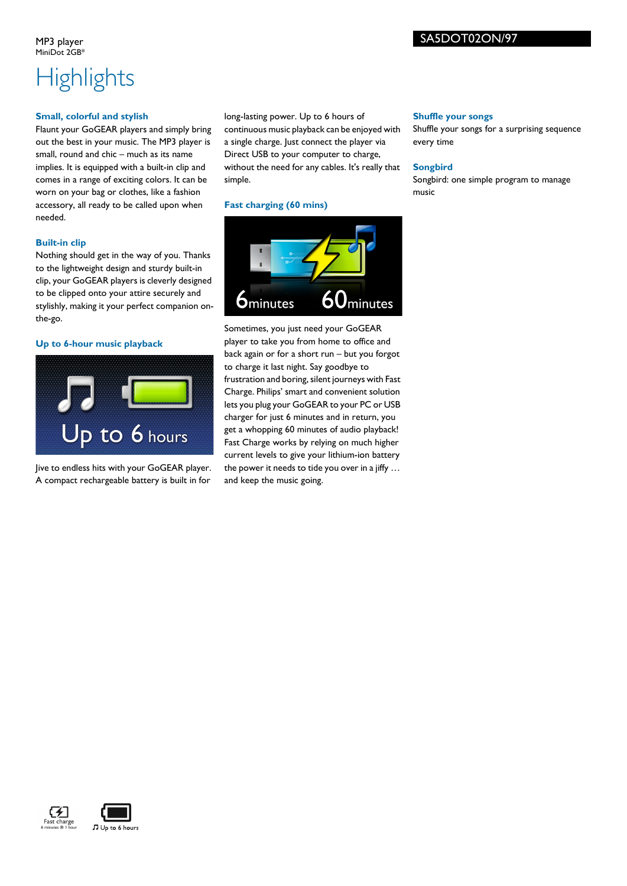# SA5DOT02ON/97

MP3 player MiniDot 2GB<sup>\*</sup>

# **Highlights**

### **Small, colorful and stylish**

Flaunt your GoGEAR players and simply bring out the best in your music. The MP3 player is small, round and chic – much as its name implies. It is equipped with a built-in clip and comes in a range of exciting colors. It can be worn on your bag or clothes, like a fashion accessory, all ready to be called upon when needed.

# **Built-in clip**

Nothing should get in the way of you. Thanks to the lightweight design and sturdy built-in clip, your GoGEAR players is cleverly designed to be clipped onto your attire securely and stylishly, making it your perfect companion onthe-go.

# **Up to 6-hour music playback**



Jive to endless hits with your GoGEAR player. A compact rechargeable battery is built in for

long-lasting power. Up to 6 hours of continuous music playback can be enjoyed with a single charge. Just connect the player via Direct USB to your computer to charge, without the need for any cables. It's really that simple.

# **Fast charging (60 mins)**



Sometimes, you just need your GoGEAR player to take you from home to office and back again or for a short run – but you forgot to charge it last night. Say goodbye to frustration and boring, silent journeys with Fast Charge. Philips' smart and convenient solution lets you plug your GoGEAR to your PC or USB charger for just 6 minutes and in return, you get a whopping 60 minutes of audio playback! Fast Charge works by relying on much higher current levels to give your lithium-ion battery the power it needs to tide you over in a jiffy … and keep the music going.

#### **Shuffle your songs**

Shuffle your songs for a surprising sequence every time

### **Songbird**

Songbird: one simple program to manage music